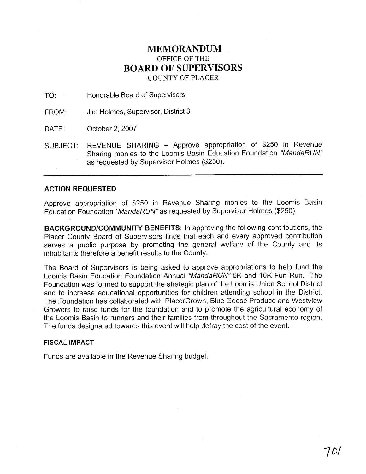## **MEMORANDUM**  OFFICE OF THE **BOARD OF SUPERVISORS**  COUNTY OF PLACER

TO: Honorable Board of Supervisors

FROM: Jim Holmes, Supervisor, District 3

DATE: October 2, 2007

SUBJECT: REVENUE SHARING - Approve appropriation of \$250 in Revenue Sharing monies to the Loomis Basin Education Foundation "MandaRUN" as requested by Supervisor Holmes (\$250).

## **ACTION REQUESTED**

Approve appropriation of \$250 in Revenue Sharing monies to the Loomis Basin Education Foundation "MandaRUN" as requested by Supervisor Holmes (\$250).

**BACKGROUNDICOMMUNITY BENEFITS:** In approving the following contributions, the Placer County Board of Supervisors finds that each and every approved contribution serves a public purpose by promoting the general welfare of the County and its inhabitants therefore a benefit results to the County.

The Board of Supervisors is being asked to approve appropriations to help fund the Loomis Basin Education Foundation Annual "MandaRUN" 5K and 10K Fun Run. The Foundation was formed to support the strategic plan of the Loomis Union School District and to increase educational opportunities for children attending school in the District. The Foundation has collaborated with PlacerGrown, Blue Goose Produce and Westview Growers to raise funds for the foundation and to promote the agricultural economy of the Loomis Basin to runners and their families from throughout the Sacramento region. The funds designated towards this event will help defray the cost of the event.

## **FISCAL IMPACT**

Funds are available in the Revenue Sharing budget.